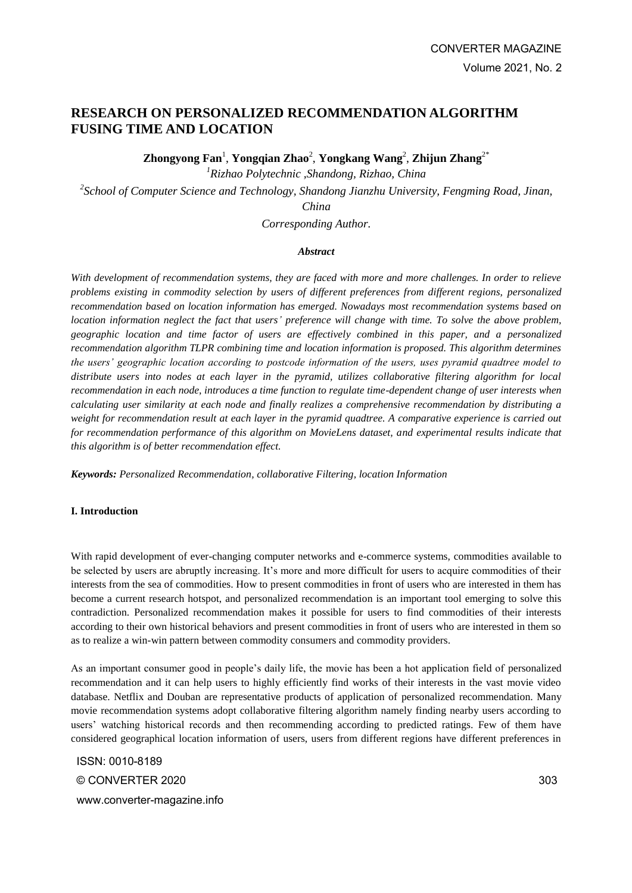# **RESEARCH ON PERSONALIZED RECOMMENDATION ALGORITHM FUSING TIME AND LOCATION**

**Zhongyong Fan**<sup>1</sup> , **Yongqian Zhao**<sup>2</sup> , **Yongkang Wang**<sup>2</sup> , **Zhijun Zhang**2\*

*<sup>1</sup>Rizhao Polytechnic ,Shandong, Rizhao, China*

*2 School of Computer Science and Technology, Shandong Jianzhu University, Fengming Road, Jinan, China*

*Corresponding Author.*

### *Abstract*

*With development of recommendation systems, they are faced with more and more challenges. In order to relieve problems existing in commodity selection by users of different preferences from different regions, personalized recommendation based on location information has emerged. Nowadays most recommendation systems based on location information neglect the fact that users' preference will change with time. To solve the above problem, geographic location and time factor of users are effectively combined in this paper, and a personalized recommendation algorithm TLPR combining time and location information is proposed. This algorithm determines the users' geographic location according to postcode information of the users, uses pyramid quadtree model to distribute users into nodes at each layer in the pyramid, utilizes collaborative filtering algorithm for local recommendation in each node, introduces a time function to regulate time-dependent change of user interests when calculating user similarity at each node and finally realizes a comprehensive recommendation by distributing a weight for recommendation result at each layer in the pyramid quadtree. A comparative experience is carried out for recommendation performance of this algorithm on MovieLens dataset, and experimental results indicate that this algorithm is of better recommendation effect.* 

*Keywords: Personalized Recommendation, collaborative Filtering, location Information*

#### **I. Introduction**

With rapid development of ever-changing computer networks and e-commerce systems, commodities available to be selected by users are abruptly increasing. It's more and more difficult for users to acquire commodities of their interests from the sea of commodities. How to present commodities in front of users who are interested in them has become a current research hotspot, and personalized recommendation is an important tool emerging to solve this contradiction. Personalized recommendation makes it possible for users to find commodities of their interests according to their own historical behaviors and present commodities in front of users who are interested in them so as to realize a win-win pattern between commodity consumers and commodity providers.

As an important consumer good in people's daily life, the movie has been a hot application field of personalized recommendation and it can help users to highly efficiently find works of their interests in the vast movie video database. Netflix and Douban are representative products of application of personalized recommendation. Many movie recommendation systems adopt collaborative filtering algorithm namely finding nearby users according to users' watching historical records and then recommending according to predicted ratings. Few of them have considered geographical location information of users, users from different regions have different preferences in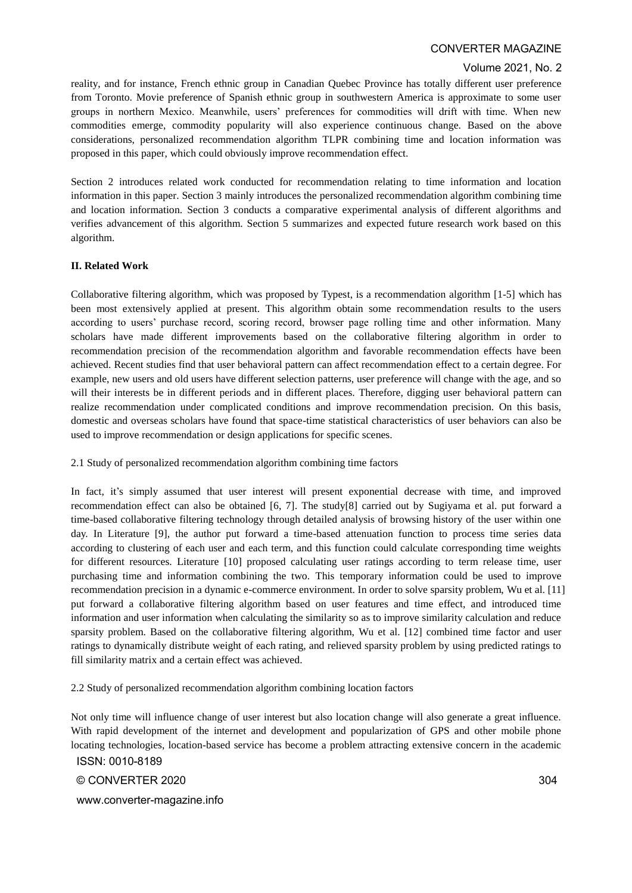#### Volume 2021, No. 2

reality, and for instance, French ethnic group in Canadian Quebec Province has totally different user preference from Toronto. Movie preference of Spanish ethnic group in southwestern America is approximate to some user groups in northern Mexico. Meanwhile, users' preferences for commodities will drift with time. When new commodities emerge, commodity popularity will also experience continuous change. Based on the above considerations, personalized recommendation algorithm TLPR combining time and location information was proposed in this paper, which could obviously improve recommendation effect.

Section 2 introduces related work conducted for recommendation relating to time information and location information in this paper. Section 3 mainly introduces the personalized recommendation algorithm combining time and location information. Section 3 conducts a comparative experimental analysis of different algorithms and verifies advancement of this algorithm. Section 5 summarizes and expected future research work based on this algorithm.

#### **II. Related Work**

Collaborative filtering algorithm, which was proposed by Typest, is a recommendation algorithm [1-5] which has been most extensively applied at present. This algorithm obtain some recommendation results to the users according to users' purchase record, scoring record, browser page rolling time and other information. Many scholars have made different improvements based on the collaborative filtering algorithm in order to recommendation precision of the recommendation algorithm and favorable recommendation effects have been achieved. Recent studies find that user behavioral pattern can affect recommendation effect to a certain degree. For example, new users and old users have different selection patterns, user preference will change with the age, and so will their interests be in different periods and in different places. Therefore, digging user behavioral pattern can realize recommendation under complicated conditions and improve recommendation precision. On this basis, domestic and overseas scholars have found that space-time statistical characteristics of user behaviors can also be used to improve recommendation or design applications for specific scenes.

2.1 Study of personalized recommendation algorithm combining time factors

In fact, it's simply assumed that user interest will present exponential decrease with time, and improved recommendation effect can also be obtained [6, 7]. The study[8] carried out by Sugiyama et al. put forward a time-based collaborative filtering technology through detailed analysis of browsing history of the user within one day. In Literature [9], the author put forward a time-based attenuation function to process time series data according to clustering of each user and each term, and this function could calculate corresponding time weights for different resources. Literature [10] proposed calculating user ratings according to term release time, user purchasing time and information combining the two. This temporary information could be used to improve recommendation precision in a dynamic e-commerce environment. In order to solve sparsity problem, Wu et al. [11] put forward a collaborative filtering algorithm based on user features and time effect, and introduced time information and user information when calculating the similarity so as to improve similarity calculation and reduce sparsity problem. Based on the collaborative filtering algorithm, Wu et al. [12] combined time factor and user ratings to dynamically distribute weight of each rating, and relieved sparsity problem by using predicted ratings to fill similarity matrix and a certain effect was achieved.

2.2 Study of personalized recommendation algorithm combining location factors

ISSN: 0010-8189 Not only time will influence change of user interest but also location change will also generate a great influence. With rapid development of the internet and development and popularization of GPS and other mobile phone locating technologies, location-based service has become a problem attracting extensive concern in the academic

© CONVERTER 2020

www.converter-magazine.info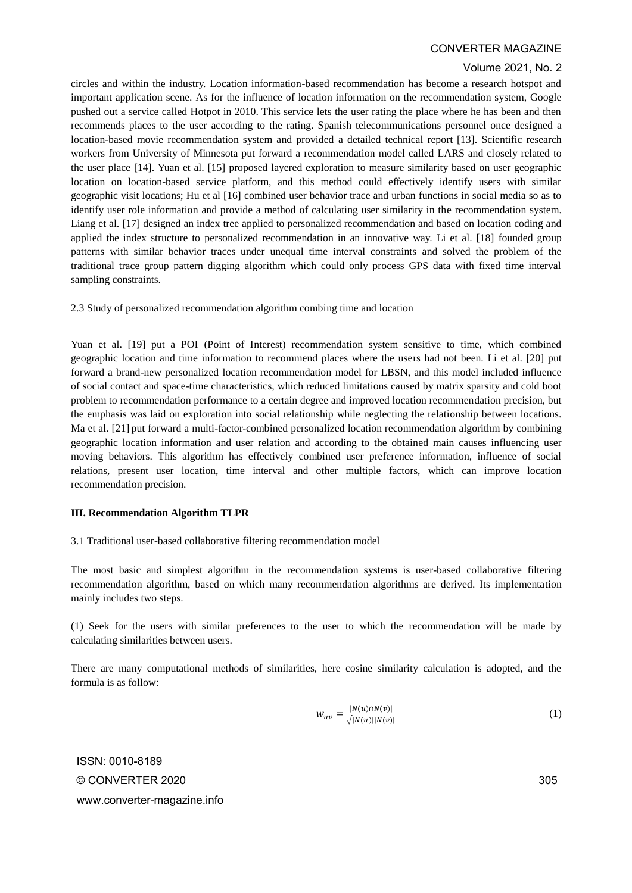#### Volume 2021, No. 2

circles and within the industry. Location information-based recommendation has become a research hotspot and important application scene. As for the influence of location information on the recommendation system, Google pushed out a service called Hotpot in 2010. This service lets the user rating the place where he has been and then recommends places to the user according to the rating. Spanish telecommunications personnel once designed a location-based movie recommendation system and provided a detailed technical report [13]. Scientific research workers from University of Minnesota put forward a recommendation model called LARS and closely related to the user place [14]. Yuan et al. [15] proposed layered exploration to measure similarity based on user geographic location on location-based service platform, and this method could effectively identify users with similar geographic visit locations; Hu et al [16] combined user behavior trace and urban functions in social media so as to identify user role information and provide a method of calculating user similarity in the recommendation system. Liang et al. [17] designed an index tree applied to personalized recommendation and based on location coding and applied the index structure to personalized recommendation in an innovative way. Li et al. [18] founded group patterns with similar behavior traces under unequal time interval constraints and solved the problem of the traditional trace group pattern digging algorithm which could only process GPS data with fixed time interval sampling constraints.

2.3 Study of personalized recommendation algorithm combing time and location

Yuan et al. [19] put a POI (Point of Interest) recommendation system sensitive to time, which combined geographic location and time information to recommend places where the users had not been. Li et al. [20] put forward a brand-new personalized location recommendation model for LBSN, and this model included influence of social contact and space-time characteristics, which reduced limitations caused by matrix sparsity and cold boot problem to recommendation performance to a certain degree and improved location recommendation precision, but the emphasis was laid on exploration into social relationship while neglecting the relationship between locations. Ma et al. [21] put forward a multi-factor-combined personalized location recommendation algorithm by combining geographic location information and user relation and according to the obtained main causes influencing user moving behaviors. This algorithm has effectively combined user preference information, influence of social relations, present user location, time interval and other multiple factors, which can improve location recommendation precision.

#### **III. Recommendation Algorithm TLPR**

3.1 Traditional user-based collaborative filtering recommendation model

The most basic and simplest algorithm in the recommendation systems is user-based collaborative filtering recommendation algorithm, based on which many recommendation algorithms are derived. Its implementation mainly includes two steps.

(1) Seek for the users with similar preferences to the user to which the recommendation will be made by calculating similarities between users.

There are many computational methods of similarities, here cosine similarity calculation is adopted, and the formula is as follow:

$$
w_{uv} = \frac{|N(u) \cap N(v)|}{\sqrt{|N(u)||N(v)|}}\tag{1}
$$

ISSN: 0010-8189 © CONVERTER 2020 www.converter-magazine.info

305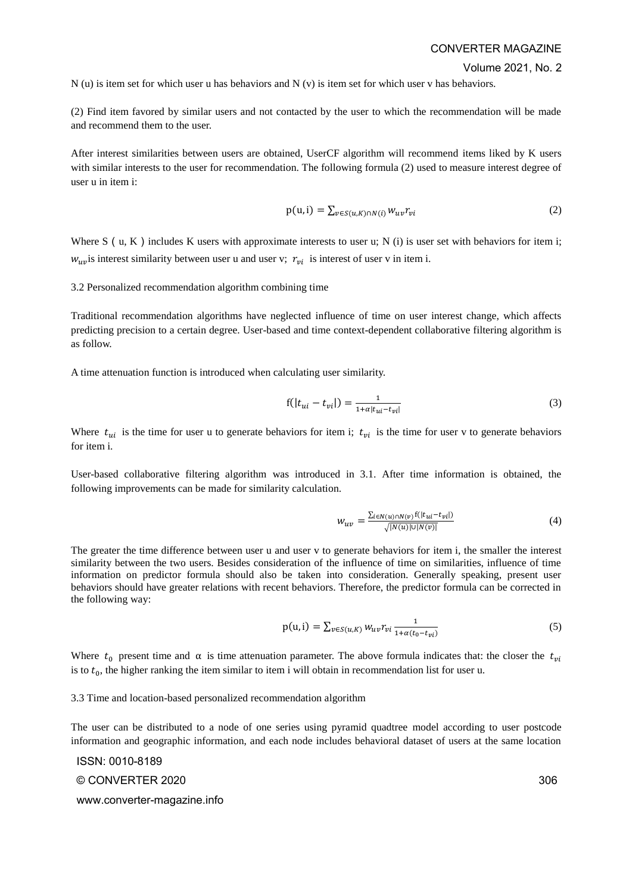Volume 2021, No. 2

 $N(u)$  is item set for which user u has behaviors and  $N(v)$  is item set for which user v has behaviors.

(2) Find item favored by similar users and not contacted by the user to which the recommendation will be made and recommend them to the user.

After interest similarities between users are obtained, UserCF algorithm will recommend items liked by K users with similar interests to the user for recommendation. The following formula (2) used to measure interest degree of user u in item i:

$$
p(u,i) = \sum_{v \in S(u,K) \cap N(i)} w_{uv} r_{vi}
$$
 (2)

Where S (u, K) includes K users with approximate interests to user u; N (i) is user set with behaviors for item i;  $w_{uv}$  is interest similarity between user u and user v;  $r_{vi}$  is interest of user v in item i.

3.2 Personalized recommendation algorithm combining time

Traditional recommendation algorithms have neglected influence of time on user interest change, which affects predicting precision to a certain degree. User-based and time context-dependent collaborative filtering algorithm is as follow.

A time attenuation function is introduced when calculating user similarity.

$$
f(|t_{ui} - t_{vi}|) = \frac{1}{1 + \alpha |t_{ui} - t_{vi}|}
$$
\n(3)

Where  $t_{ui}$  is the time for user u to generate behaviors for item i;  $t_{vi}$  is the time for user v to generate behaviors for item i.

User-based collaborative filtering algorithm was introduced in 3.1. After time information is obtained, the following improvements can be made for similarity calculation.

$$
W_{uv} = \frac{\sum_{i \in N(u) \cap N(v)} f(|t_{ui} - t_{vi}|)}{\sqrt{|N(u)| |V(v)|}}
$$
(4)

The greater the time difference between user u and user v to generate behaviors for item i, the smaller the interest similarity between the two users. Besides consideration of the influence of time on similarities, influence of time information on predictor formula should also be taken into consideration. Generally speaking, present user behaviors should have greater relations with recent behaviors. Therefore, the predictor formula can be corrected in the following way:

$$
p(u,i) = \sum_{v \in S(u,K)} w_{uv} r_{vi} \frac{1}{1 + \alpha(t_0 - t_{vi})}
$$
\n
$$
(5)
$$

Where  $t_0$  present time and  $\alpha$  is time attenuation parameter. The above formula indicates that: the closer the  $t_{vi}$ is to  $t_0$ , the higher ranking the item similar to item i will obtain in recommendation list for user u.

3.3 Time and location-based personalized recommendation algorithm

The user can be distributed to a node of one series using pyramid quadtree model according to user postcode information and geographic information, and each node includes behavioral dataset of users at the same location

ISSN: 0010-8189 © CONVERTER 2020 www.converter-magazine.info

306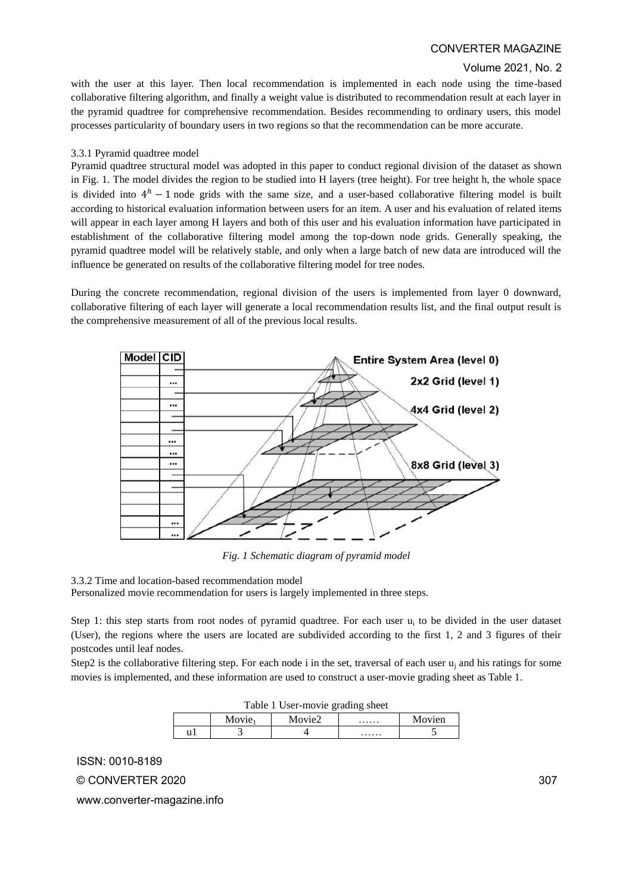### Volume 2021, No. 2

with the user at this layer. Then local recommendation is implemented in each node using the time-based collaborative filtering algorithm, and finally a weight value is distributed to recommendation result at each layer in the pyramid quadtree for comprehensive recommendation. Besides recommending to ordinary users, this model processes particularity of boundary users in two regions so that the recommendation can be more accurate.

### 3.3.1 Pyramid quadtree model

Pyramid quadtree structural model was adopted in this paper to conduct regional division of the dataset as shown in Fig. 1. The model divides the region to be studied into H layers (tree height). For tree height h, the whole space is divided into  $4<sup>h</sup> - 1$  node grids with the same size, and a user-based collaborative filtering model is built according to historical evaluation information between users for an item. A user and his evaluation of related items will appear in each layer among H layers and both of this user and his evaluation information have participated in establishment of the collaborative filtering model among the top-down node grids. Generally speaking, the pyramid quadtree model will be relatively stable, and only when a large batch of new data are introduced will the influence be generated on results of the collaborative filtering model for tree nodes.

During the concrete recommendation, regional division of the users is implemented from layer 0 downward, collaborative filtering of each layer will generate a local recommendation results list, and the final output result is the comprehensive measurement of all of the previous local results.



*Fig. 1 Schematic diagram of pyramid model*

3.3.2 Time and location-based recommendation model Personalized movie recommendation for users is largely implemented in three steps.

Step 1: this step starts from root nodes of pyramid quadtree. For each user  $u_i$  to be divided in the user dataset (User), the regions where the users are located are subdivided according to the first 1, 2 and 3 figures of their postcodes until leaf nodes.

Step2 is the collaborative filtering step. For each node i in the set, traversal of each user  $u_i$  and his ratings for some movies is implemented, and these information are used to construct a user-movie grading sheet as Table 1.

| Table 1 User-movie grading sheet |                    |        |   |        |  |  |
|----------------------------------|--------------------|--------|---|--------|--|--|
|                                  | Movie <sub>1</sub> | Movie2 | . | Movien |  |  |
|                                  |                    |        | . |        |  |  |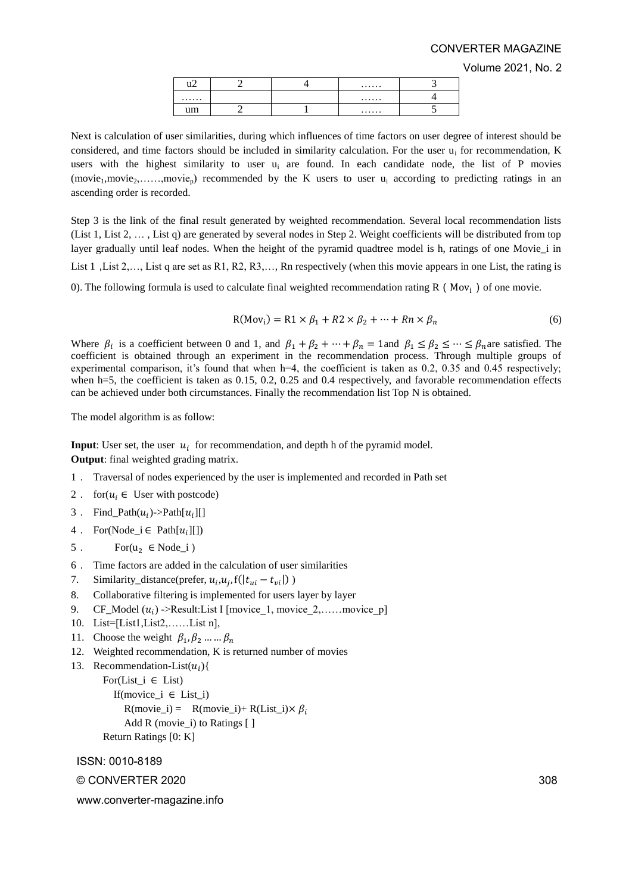Volume 2021, No. 2

| nm<br>--- |  |  |
|-----------|--|--|

Next is calculation of user similarities, during which influences of time factors on user degree of interest should be considered, and time factors should be included in similarity calculation. For the user  $u_i$  for recommendation, K users with the highest similarity to user  $u_i$  are found. In each candidate node, the list of P movies  $(movie<sub>1</sub>,movie<sub>2</sub>,...,movie<sub>p</sub>)$  recommended by the K users to user  $u<sub>i</sub>$  according to predicting ratings in an ascending order is recorded.

Step 3 is the link of the final result generated by weighted recommendation. Several local recommendation lists (List 1, List 2, … , List q) are generated by several nodes in Step 2. Weight coefficients will be distributed from top layer gradually until leaf nodes. When the height of the pyramid quadtree model is h, ratings of one Movie\_i in List 1, List 2,..., List q are set as R1, R2, R3,..., Rn respectively (when this movie appears in one List, the rating is 0). The following formula is used to calculate final weighted recommendation rating R ( $Mov_i$ ) of one movie.

 $R(Mov_i) = R1 \times \beta_1 + R2 \times \beta_2 + \dots + Rn \times \beta_n$  (6)

Where  $\beta_i$  is a coefficient between 0 and 1, and  $\beta_1 + \beta_2 + \cdots + \beta_n = 1$  and  $\beta_1 \le \beta_2 \le \cdots \le \beta_n$  are satisfied. The coefficient is obtained through an experiment in the recommendation process. Through multiple groups of experimental comparison, it's found that when  $h=4$ , the coefficient is taken as 0.2, 0.35 and 0.45 respectively; when h=5, the coefficient is taken as 0.15, 0.2, 0.25 and 0.4 respectively, and favorable recommendation effects can be achieved under both circumstances. Finally the recommendation list Top N is obtained.

The model algorithm is as follow:

**Input**: User set, the user  $u_i$  for recommendation, and depth h of the pyramid model. **Output**: final weighted grading matrix.

- 1. Traversal of nodes experienced by the user is implemented and recorded in Path set
- 2. for $(u_i \in$  User with postcode)
- 3 . Find\_Path $(u_i)$ ->Path $[u_i]$ []
- 4 . For(Node\_i  $\in$  Path $[u_i][]$ )
- 5. For $(u_2 \in \text{Node}_i)$
- 6. Time factors are added in the calculation of user similarities
- 7. Similarity\_distance(prefer,  $u_i$ ,  $u_j$ ,  $f(|t_{ui} t_{vi}|)$ )
- 8. Collaborative filtering is implemented for users layer by layer
- 9. CF\_Model  $(u_i)$  ->Result:List I [movice\_1, movice\_2,......movice\_p]
- 10. List=[List1,List2,……List n],
- 11. Choose the weight  $\beta_1, \beta_2, ..., \beta_n$
- 12. Weighted recommendation, K is returned number of movies
- 13. Recommendation-List $(u_i)$ { For(List  $i \in$  List) If(movice\_i  $\in$  List\_i)

```
R(movie_i) = R(movie_i) + R(List_i) \times \beta_iAdd R (movie i) to Ratings [ ]
Return Ratings [0: K]
```
ISSN: 0010-8189

© CONVERTER 2020

www.converter-magazine.info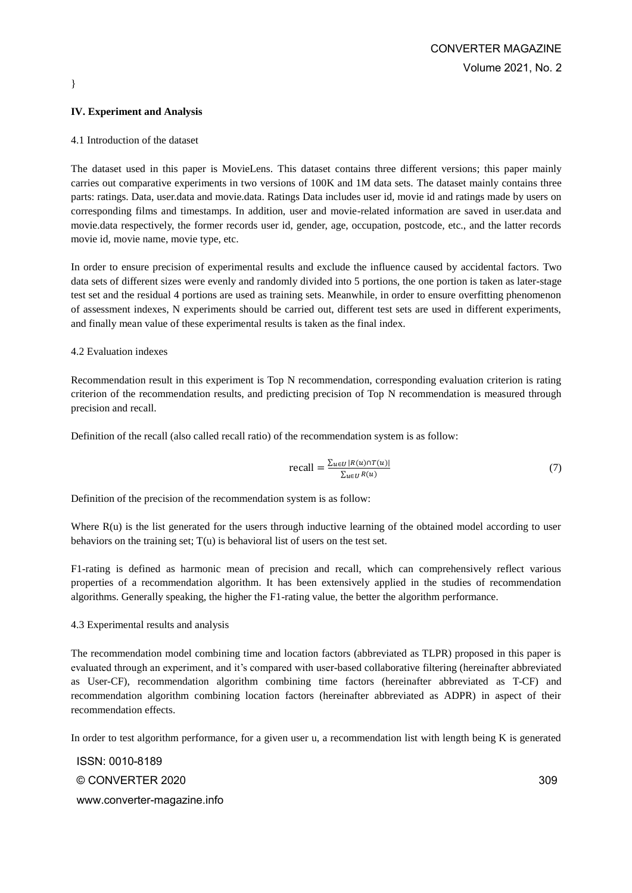### **IV. Experiment and Analysis**

}

#### 4.1 Introduction of the dataset

The dataset used in this paper is MovieLens. This dataset contains three different versions; this paper mainly carries out comparative experiments in two versions of 100K and 1M data sets. The dataset mainly contains three parts: ratings. Data, user.data and movie.data. Ratings Data includes user id, movie id and ratings made by users on corresponding films and timestamps. In addition, user and movie-related information are saved in user.data and movie.data respectively, the former records user id, gender, age, occupation, postcode, etc., and the latter records movie id, movie name, movie type, etc.

In order to ensure precision of experimental results and exclude the influence caused by accidental factors. Two data sets of different sizes were evenly and randomly divided into 5 portions, the one portion is taken as later-stage test set and the residual 4 portions are used as training sets. Meanwhile, in order to ensure overfitting phenomenon of assessment indexes, N experiments should be carried out, different test sets are used in different experiments, and finally mean value of these experimental results is taken as the final index.

#### 4.2 Evaluation indexes

Recommendation result in this experiment is Top N recommendation, corresponding evaluation criterion is rating criterion of the recommendation results, and predicting precision of Top N recommendation is measured through precision and recall.

Definition of the recall (also called recall ratio) of the recommendation system is as follow:

$$
\text{recall} = \frac{\sum_{u \in U} |R(u) \cap T(u)|}{\sum_{u \in U} R(u)} \tag{7}
$$

Definition of the precision of the recommendation system is as follow:

Where  $R(u)$  is the list generated for the users through inductive learning of the obtained model according to user behaviors on the training set:  $T(u)$  is behavioral list of users on the test set.

F1-rating is defined as harmonic mean of precision and recall, which can comprehensively reflect various properties of a recommendation algorithm. It has been extensively applied in the studies of recommendation algorithms. Generally speaking, the higher the F1-rating value, the better the algorithm performance.

#### 4.3 Experimental results and analysis

The recommendation model combining time and location factors (abbreviated as TLPR) proposed in this paper is evaluated through an experiment, and it's compared with user-based collaborative filtering (hereinafter abbreviated as User-CF), recommendation algorithm combining time factors (hereinafter abbreviated as T-CF) and recommendation algorithm combining location factors (hereinafter abbreviated as ADPR) in aspect of their recommendation effects.

In order to test algorithm performance, for a given user u, a recommendation list with length being K is generated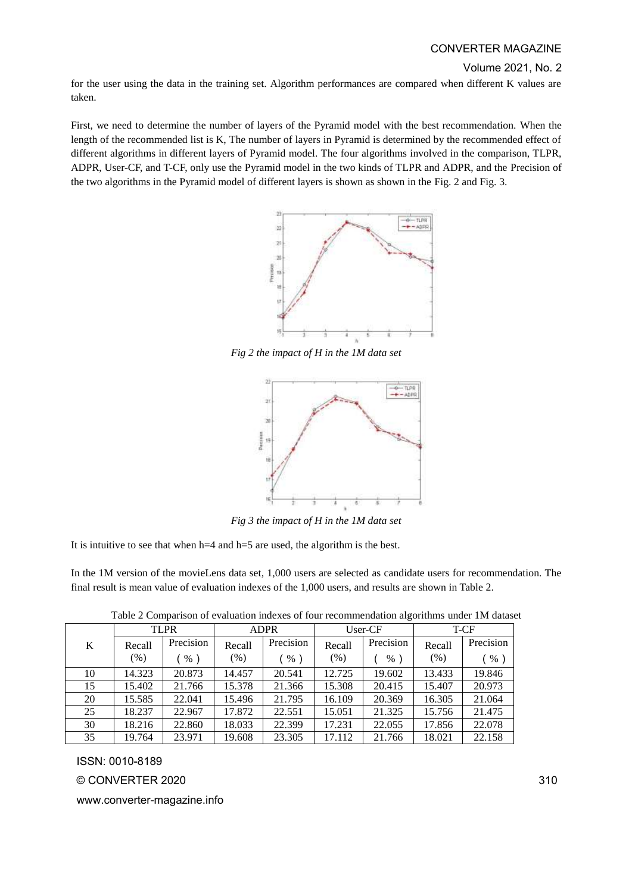Volume 2021, No. 2

for the user using the data in the training set. Algorithm performances are compared when different K values are taken.

First, we need to determine the number of layers of the Pyramid model with the best recommendation. When the length of the recommended list is K, The number of layers in Pyramid is determined by the recommended effect of different algorithms in different layers of Pyramid model. The four algorithms involved in the comparison, TLPR, ADPR, User-CF, and T-CF, only use the Pyramid model in the two kinds of TLPR and ADPR, and the Precision of the two algorithms in the Pyramid model of different layers is shown as shown in the Fig. 2 and Fig. 3.



*Fig 2 the impact of H in the 1M data set*



*Fig 3 the impact of H in the 1M data set*

It is intuitive to see that when h=4 and h=5 are used, the algorithm is the best.

In the 1M version of the movieLens data set, 1,000 users are selected as candidate users for recommendation. The final result is mean value of evaluation indexes of the 1,000 users, and results are shown in Table 2.

| Table 2 Comparison of evaluation indexes of four recommendation algorithms under 1M dataset |  |  |  |
|---------------------------------------------------------------------------------------------|--|--|--|
|                                                                                             |  |  |  |
|                                                                                             |  |  |  |

|    | <b>TLPR</b> |           | <b>ADPR</b> |           | User-CF |           | T-CF   |           |
|----|-------------|-----------|-------------|-----------|---------|-----------|--------|-----------|
| K  | Recall      | Precision | Recall      | Precision | Recall  | Precision | Recall | Precision |
|    | $(\%)$      | $%$ )     | (% )        | %         | (% )    | $\%$      | $(\%)$ | $\%$      |
| 10 | 14.323      | 20.873    | 14.457      | 20.541    | 12.725  | 19.602    | 13.433 | 19.846    |
| 15 | 15.402      | 21.766    | 15.378      | 21.366    | 15.308  | 20.415    | 15.407 | 20.973    |
| 20 | 15.585      | 22.041    | 15.496      | 21.795    | 16.109  | 20.369    | 16.305 | 21.064    |
| 25 | 18.237      | 22.967    | 17.872      | 22.551    | 15.051  | 21.325    | 15.756 | 21.475    |
| 30 | 18.216      | 22.860    | 18.033      | 22.399    | 17.231  | 22.055    | 17.856 | 22.078    |
| 35 | 19.764      | 23.971    | 19.608      | 23.305    | 17.112  | 21.766    | 18.021 | 22.158    |

ISSN: 0010-8189

© CONVERTER 2020

www.converter-magazine.info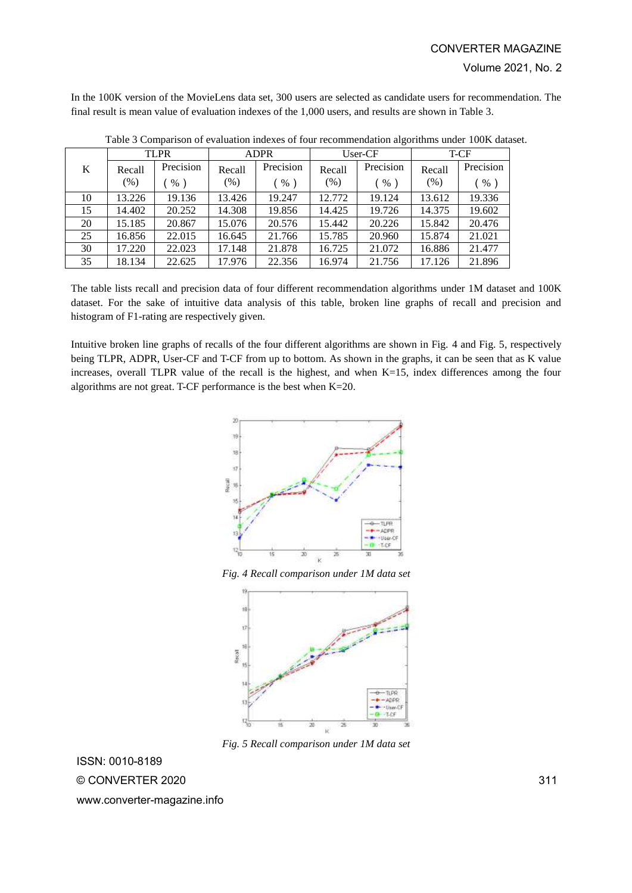In the 100K version of the MovieLens data set, 300 users are selected as candidate users for recommendation. The final result is mean value of evaluation indexes of the 1,000 users, and results are shown in Table 3.

|    | <b>TLPR</b> |           | <b>ADPR</b> |           | User-CF |           | T-CF   |           |
|----|-------------|-----------|-------------|-----------|---------|-----------|--------|-----------|
| K  | Recall      | Precision | Recall      | Precision | Recall  | Precision | Recall | Precision |
|    | (% )        | %         | $(\%)$      | $\%$      | (% )    | %         | (%)    | %         |
| 10 | 13.226      | 19.136    | 13.426      | 19.247    | 12.772  | 19.124    | 13.612 | 19.336    |
| 15 | 14.402      | 20.252    | 14.308      | 19.856    | 14.425  | 19.726    | 14.375 | 19.602    |
| 20 | 15.185      | 20.867    | 15.076      | 20.576    | 15.442  | 20.226    | 15.842 | 20.476    |
| 25 | 16.856      | 22.015    | 16.645      | 21.766    | 15.785  | 20.960    | 15.874 | 21.021    |
| 30 | 17.220      | 22.023    | 17.148      | 21.878    | 16.725  | 21.072    | 16.886 | 21.477    |
| 35 | 18.134      | 22.625    | 17.976      | 22.356    | 16.974  | 21.756    | 17.126 | 21.896    |

Table 3 Comparison of evaluation indexes of four recommendation algorithms under 100K dataset.

The table lists recall and precision data of four different recommendation algorithms under 1M dataset and 100K dataset. For the sake of intuitive data analysis of this table, broken line graphs of recall and precision and histogram of F1-rating are respectively given.

Intuitive broken line graphs of recalls of the four different algorithms are shown in Fig. 4 and Fig. 5, respectively being TLPR, ADPR, User-CF and T-CF from up to bottom. As shown in the graphs, it can be seen that as K value increases, overall TLPR value of the recall is the highest, and when K=15, index differences among the four algorithms are not great. T-CF performance is the best when K=20.



*Fig. 4 Recall comparison under 1M data set*



*Fig. 5 Recall comparison under 1M data set*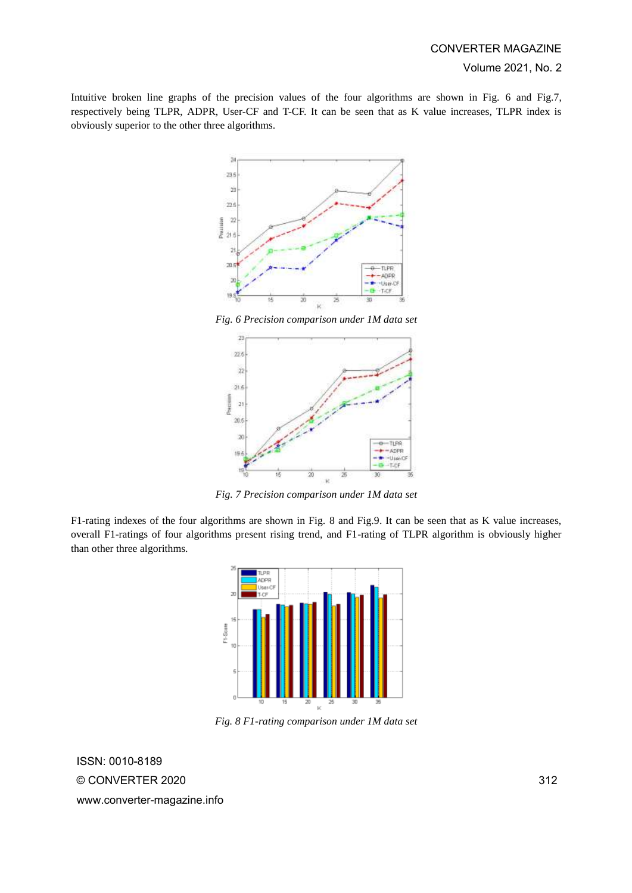Intuitive broken line graphs of the precision values of the four algorithms are shown in Fig. 6 and Fig.7, respectively being TLPR, ADPR, User-CF and T-CF. It can be seen that as K value increases, TLPR index is obviously superior to the other three algorithms.



*Fig. 6 Precision comparison under 1M data set*



*Fig. 7 Precision comparison under 1M data set*

F1-rating indexes of the four algorithms are shown in Fig. 8 and Fig.9. It can be seen that as K value increases, overall F1-ratings of four algorithms present rising trend, and F1-rating of TLPR algorithm is obviously higher than other three algorithms.



*Fig. 8 F1-rating comparison under 1M data set*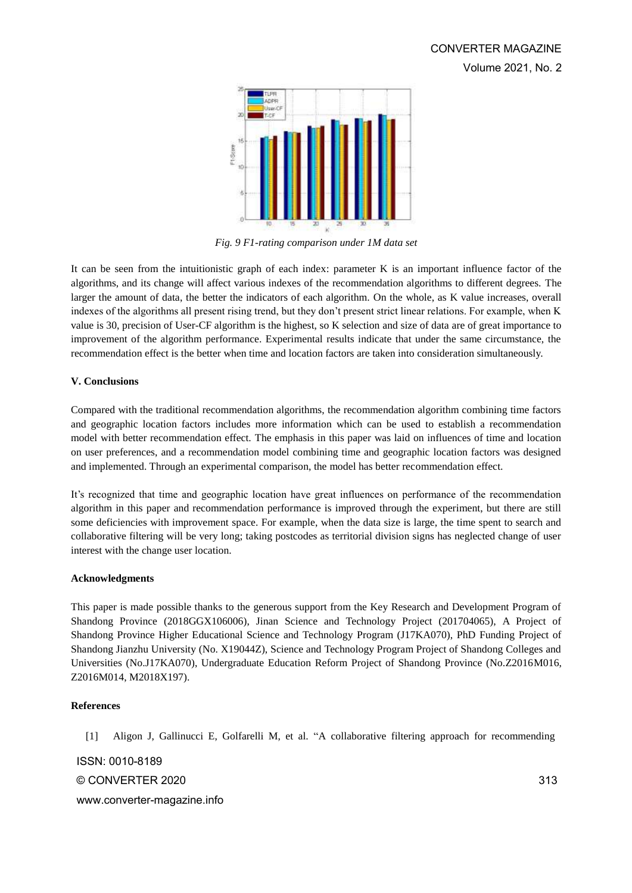

*Fig. 9 F1-rating comparison under 1M data set*

It can be seen from the intuitionistic graph of each index: parameter K is an important influence factor of the algorithms, and its change will affect various indexes of the recommendation algorithms to different degrees. The larger the amount of data, the better the indicators of each algorithm. On the whole, as K value increases, overall indexes of the algorithms all present rising trend, but they don't present strict linear relations. For example, when K value is 30, precision of User-CF algorithm is the highest, so K selection and size of data are of great importance to improvement of the algorithm performance. Experimental results indicate that under the same circumstance, the recommendation effect is the better when time and location factors are taken into consideration simultaneously.

# **V. Conclusions**

Compared with the traditional recommendation algorithms, the recommendation algorithm combining time factors and geographic location factors includes more information which can be used to establish a recommendation model with better recommendation effect. The emphasis in this paper was laid on influences of time and location on user preferences, and a recommendation model combining time and geographic location factors was designed and implemented. Through an experimental comparison, the model has better recommendation effect.

It's recognized that time and geographic location have great influences on performance of the recommendation algorithm in this paper and recommendation performance is improved through the experiment, but there are still some deficiencies with improvement space. For example, when the data size is large, the time spent to search and collaborative filtering will be very long; taking postcodes as territorial division signs has neglected change of user interest with the change user location.

# **Acknowledgments**

This paper is made possible thanks to the generous support from the Key Research and Development Program of Shandong Province (2018GGX106006), Jinan Science and Technology Project (201704065), A Project of Shandong Province Higher Educational Science and Technology Program (J17KA070), PhD Funding Project of Shandong Jianzhu University (No. X19044Z), Science and Technology Program Project of Shandong Colleges and Universities (No.J17KA070), Undergraduate Education Reform Project of Shandong Province (No.Z2016M016, Z2016M014, M2018X197).

# **References**

[1] Aligon J, Gallinucci E, Golfarelli M, et al. "A collaborative filtering approach for recommending